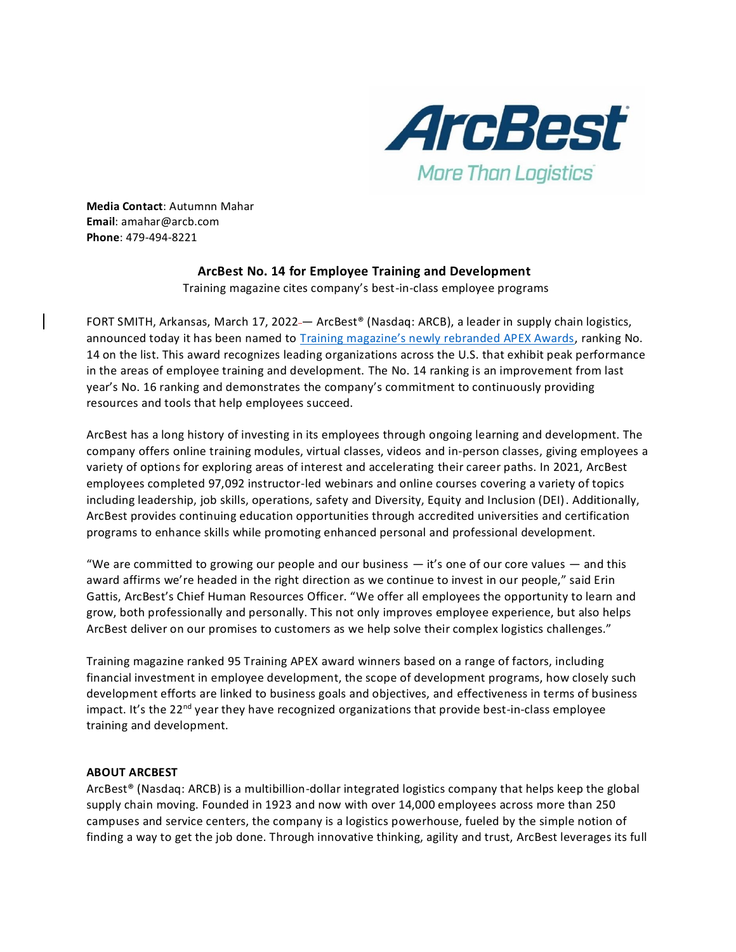

**Media Contact**: Autumnn Mahar **Email**: amahar@arcb.com **Phone**: 479-494-8221

## **ArcBest No. 14 for Employee Training and Development**

Training magazine cites company's best-in-class employee programs

FORT SMITH, Arkansas, March 17, 2022 — ArcBest® (Nasdaq: ARCB), a leader in supply chain logistics, announced today it has been named to [Training magazine's newly rebranded APEX Awards](https://trainingmag.com/training-magazine-ranks-the-winners-of-the-2022-training-apex-awards/), ranking No. 14 on the list. This award recognizes leading organizations across the U.S. that exhibit peak performance in the areas of employee training and development. The No. 14 ranking is an improvement from last year's No. 16 ranking and demonstrates the company's commitment to continuously providing resources and tools that help employees succeed.

ArcBest has a long history of investing in its employees through ongoing learning and development. The company offers online training modules, virtual classes, videos and in-person classes, giving employees a variety of options for exploring areas of interest and accelerating their career paths. In 2021, ArcBest employees completed 97,092 instructor-led webinars and online courses covering a variety of topics including leadership, job skills, operations, safety and Diversity, Equity and Inclusion (DEI). Additionally, ArcBest provides continuing education opportunities through accredited universities and certification programs to enhance skills while promoting enhanced personal and professional development.

"We are committed to growing our people and our business  $-$  it's one of our core values  $-$  and this award affirms we're headed in the right direction as we continue to invest in our people," said Erin Gattis, ArcBest's Chief Human Resources Officer. "We offer all employees the opportunity to learn and grow, both professionally and personally. This not only improves employee experience, but also helps ArcBest deliver on our promises to customers as we help solve their complex logistics challenges."

Training magazine ranked 95 Training APEX award winners based on a range of factors, including financial investment in employee development, the scope of development programs, how closely such development efforts are linked to business goals and objectives, and effectiveness in terms of business impact. It's the 22<sup>nd</sup> year they have recognized organizations that provide best-in-class employee training and development.

## **ABOUT ARCBEST**

ArcBest® (Nasdaq: ARCB) is a multibillion-dollar integrated logistics company that helps keep the global supply chain moving. Founded in 1923 and now with over 14,000 employees across more than 250 campuses and service centers, the company is a logistics powerhouse, fueled by the simple notion of finding a way to get the job done. Through innovative thinking, agility and trust, ArcBest leverages its full